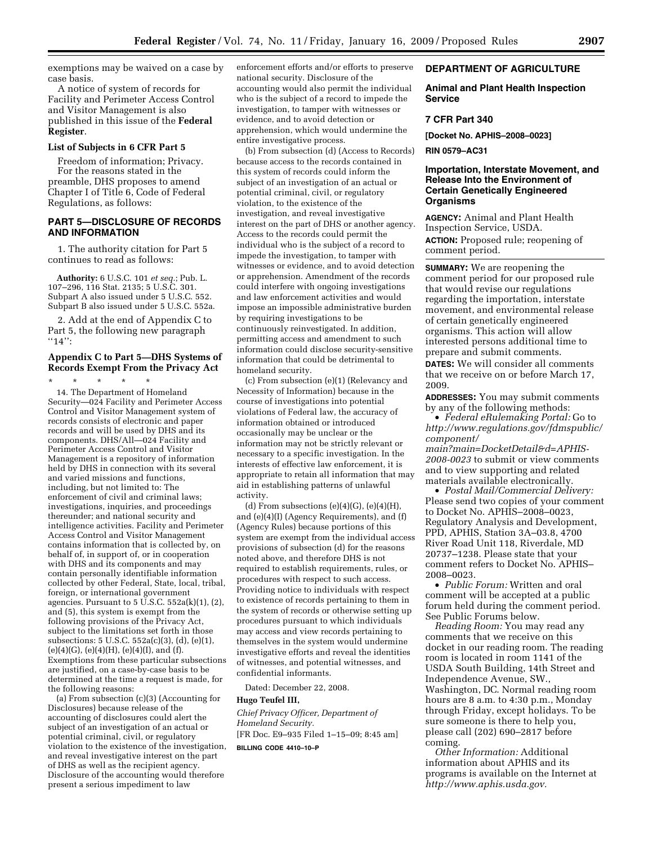exemptions may be waived on a case by case basis.

A notice of system of records for Facility and Perimeter Access Control and Visitor Management is also published in this issue of the **Federal Register**.

## **List of Subjects in 6 CFR Part 5**

Freedom of information; Privacy. For the reasons stated in the preamble, DHS proposes to amend Chapter I of Title 6, Code of Federal Regulations, as follows:

# **PART 5—DISCLOSURE OF RECORDS AND INFORMATION**

1. The authority citation for Part 5 continues to read as follows:

**Authority:** 6 U.S.C. 101 *et seq.*; Pub. L. 107–296, 116 Stat. 2135; 5 U.S.C. 301. Subpart A also issued under 5 U.S.C. 552. Subpart B also issued under 5 U.S.C. 552a.

2. Add at the end of Appendix C to Part 5, the following new paragraph ''14'':

# **Appendix C to Part 5—DHS Systems of Records Exempt From the Privacy Act**

\* \* \* \* \* 14. The Department of Homeland Security—024 Facility and Perimeter Access Control and Visitor Management system of records consists of electronic and paper records and will be used by DHS and its components. DHS/All—024 Facility and Perimeter Access Control and Visitor Management is a repository of information held by DHS in connection with its several and varied missions and functions, including, but not limited to: The enforcement of civil and criminal laws; investigations, inquiries, and proceedings thereunder; and national security and intelligence activities. Facility and Perimeter Access Control and Visitor Management contains information that is collected by, on behalf of, in support of, or in cooperation with DHS and its components and may contain personally identifiable information collected by other Federal, State, local, tribal, foreign, or international government agencies. Pursuant to  $5 \overline{U}$ .S.C.  $552a(k)(1)$ ,  $(2)$ , and (5), this system is exempt from the following provisions of the Privacy Act, subject to the limitations set forth in those subsections: 5 U.S.C. 552a(c)(3), (d), (e)(1),  $(e)(4)(G)$ ,  $(e)(4)(H)$ ,  $(e)(4)(I)$ , and  $(f)$ . Exemptions from these particular subsections are justified, on a case-by-case basis to be determined at the time a request is made, for the following reasons:

(a) From subsection (c)(3) (Accounting for Disclosures) because release of the accounting of disclosures could alert the subject of an investigation of an actual or potential criminal, civil, or regulatory violation to the existence of the investigation, and reveal investigative interest on the part of DHS as well as the recipient agency. Disclosure of the accounting would therefore present a serious impediment to law

enforcement efforts and/or efforts to preserve national security. Disclosure of the accounting would also permit the individual who is the subject of a record to impede the investigation, to tamper with witnesses or evidence, and to avoid detection or apprehension, which would undermine the entire investigative process.

(b) From subsection (d) (Access to Records) because access to the records contained in this system of records could inform the subject of an investigation of an actual or potential criminal, civil, or regulatory violation, to the existence of the investigation, and reveal investigative interest on the part of DHS or another agency. Access to the records could permit the individual who is the subject of a record to impede the investigation, to tamper with witnesses or evidence, and to avoid detection or apprehension. Amendment of the records could interfere with ongoing investigations and law enforcement activities and would impose an impossible administrative burden by requiring investigations to be continuously reinvestigated. In addition, permitting access and amendment to such information could disclose security-sensitive information that could be detrimental to homeland security.

(c) From subsection (e)(1) (Relevancy and Necessity of Information) because in the course of investigations into potential violations of Federal law, the accuracy of information obtained or introduced occasionally may be unclear or the information may not be strictly relevant or necessary to a specific investigation. In the interests of effective law enforcement, it is appropriate to retain all information that may aid in establishing patterns of unlawful activity.

(d) From subsections  $(e)(4)(G)$ ,  $(e)(4)(H)$ , and (e)(4)(I) (Agency Requirements), and (f) (Agency Rules) because portions of this system are exempt from the individual access provisions of subsection (d) for the reasons noted above, and therefore DHS is not required to establish requirements, rules, or procedures with respect to such access. Providing notice to individuals with respect to existence of records pertaining to them in the system of records or otherwise setting up procedures pursuant to which individuals may access and view records pertaining to themselves in the system would undermine investigative efforts and reveal the identities of witnesses, and potential witnesses, and confidential informants.

Dated: December 22, 2008.

### **Hugo Teufel III,**

*Chief Privacy Officer, Department of Homeland Security.*  [FR Doc. E9–935 Filed 1–15–09; 8:45 am]

**BILLING CODE 4410–10–P** 

# **DEPARTMENT OF AGRICULTURE**

# **Animal and Plant Health Inspection Service**

# **7 CFR Part 340**

**[Docket No. APHIS–2008–0023]** 

### **RIN 0579–AC31**

# **Importation, Interstate Movement, and Release Into the Environment of Certain Genetically Engineered Organisms**

**AGENCY:** Animal and Plant Health Inspection Service, USDA. **ACTION:** Proposed rule; reopening of comment period.

**SUMMARY:** We are reopening the comment period for our proposed rule that would revise our regulations regarding the importation, interstate movement, and environmental release of certain genetically engineered organisms. This action will allow interested persons additional time to prepare and submit comments. **DATES:** We will consider all comments that we receive on or before March 17, 2009.

**ADDRESSES:** You may submit comments by any of the following methods:

• *Federal eRulemaking Portal:* Go to *[http://www.regulations.gov/fdmspublic/](http://www.regulations.gov/fdmspublic/component/main?main=DocketDetail&d=APHIS-2008-0023)  component/* 

*main?main=DocketDetail&d=APHIS-2008-0023* to submit or view comments and to view supporting and related materials available electronically.

• *Postal Mail/Commercial Delivery:*  Please send two copies of your comment to Docket No. APHIS–2008–0023, Regulatory Analysis and Development, PPD, APHIS, Station 3A–03.8, 4700 River Road Unit 118, Riverdale, MD 20737–1238. Please state that your comment refers to Docket No. APHIS– 2008–0023.

• *Public Forum:* Written and oral comment will be accepted at a public forum held during the comment period. See Public Forums below.

*Reading Room:* You may read any comments that we receive on this docket in our reading room. The reading room is located in room 1141 of the USDA South Building, 14th Street and Independence Avenue, SW., Washington, DC. Normal reading room hours are 8 a.m. to 4:30 p.m., Monday through Friday, except holidays. To be sure someone is there to help you, please call (202) 690–2817 before coming.

*Other Information:* Additional information about APHIS and its programs is available on the Internet at *[http://www.aphis.usda.gov.](http://www.aphis.usda.gov)*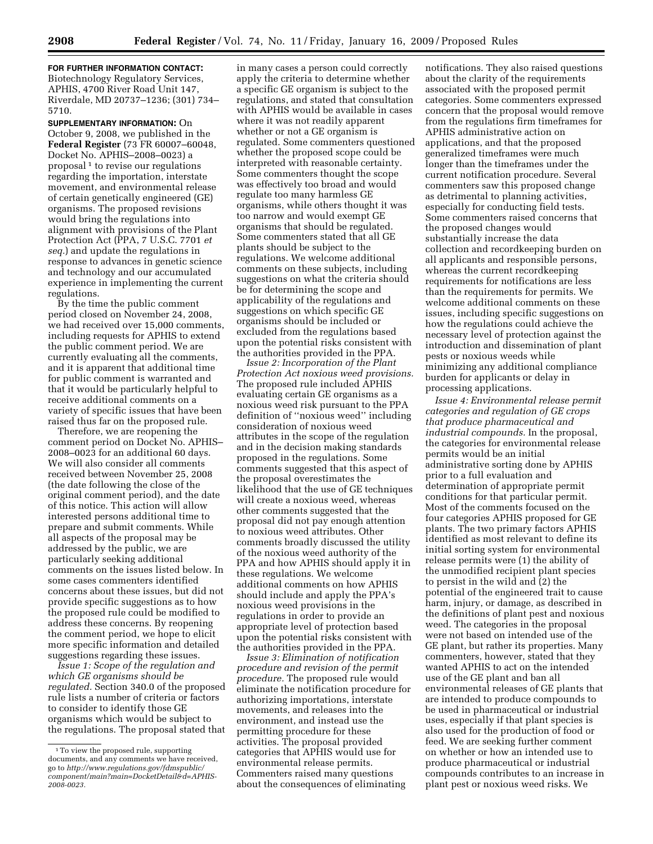**FOR FURTHER INFORMATION CONTACT:**  Biotechnology Regulatory Services, APHIS, 4700 River Road Unit 147, Riverdale, MD 20737–1236; (301) 734– 5710.

**SUPPLEMENTARY INFORMATION:** On October 9, 2008, we published in the **Federal Register** (73 FR 60007–60048, Docket No. APHIS–2008–0023) a proposal  $1$  to revise our regulations regarding the importation, interstate movement, and environmental release of certain genetically engineered (GE) organisms. The proposed revisions would bring the regulations into alignment with provisions of the Plant Protection Act (PPA, 7 U.S.C. 7701 *et seq.*) and update the regulations in response to advances in genetic science and technology and our accumulated experience in implementing the current regulations.

By the time the public comment period closed on November 24, 2008, we had received over 15,000 comments, including requests for APHIS to extend the public comment period. We are currently evaluating all the comments, and it is apparent that additional time for public comment is warranted and that it would be particularly helpful to receive additional comments on a variety of specific issues that have been raised thus far on the proposed rule.

Therefore, we are reopening the comment period on Docket No. APHIS– 2008–0023 for an additional 60 days. We will also consider all comments received between November 25, 2008 (the date following the close of the original comment period), and the date of this notice. This action will allow interested persons additional time to prepare and submit comments. While all aspects of the proposal may be addressed by the public, we are particularly seeking additional comments on the issues listed below. In some cases commenters identified concerns about these issues, but did not provide specific suggestions as to how the proposed rule could be modified to address these concerns. By reopening the comment period, we hope to elicit more specific information and detailed suggestions regarding these issues.

*Issue 1: Scope of the regulation and which GE organisms should be regulated.* Section 340.0 of the proposed rule lists a number of criteria or factors to consider to identify those GE organisms which would be subject to the regulations. The proposal stated that

in many cases a person could correctly apply the criteria to determine whether a specific GE organism is subject to the regulations, and stated that consultation with APHIS would be available in cases where it was not readily apparent whether or not a GE organism is regulated. Some commenters questioned whether the proposed scope could be interpreted with reasonable certainty. Some commenters thought the scope was effectively too broad and would regulate too many harmless GE organisms, while others thought it was too narrow and would exempt GE organisms that should be regulated. Some commenters stated that all GE plants should be subject to the regulations. We welcome additional comments on these subjects, including suggestions on what the criteria should be for determining the scope and applicability of the regulations and suggestions on which specific GE organisms should be included or excluded from the regulations based upon the potential risks consistent with the authorities provided in the PPA.

*Issue 2: Incorporation of the Plant Protection Act noxious weed provisions.*  The proposed rule included APHIS evaluating certain GE organisms as a noxious weed risk pursuant to the PPA definition of ''noxious weed'' including consideration of noxious weed attributes in the scope of the regulation and in the decision making standards proposed in the regulations. Some comments suggested that this aspect of the proposal overestimates the likelihood that the use of GE techniques will create a noxious weed, whereas other comments suggested that the proposal did not pay enough attention to noxious weed attributes. Other comments broadly discussed the utility of the noxious weed authority of the PPA and how APHIS should apply it in these regulations. We welcome additional comments on how APHIS should include and apply the PPA's noxious weed provisions in the regulations in order to provide an appropriate level of protection based upon the potential risks consistent with the authorities provided in the PPA.

*Issue 3: Elimination of notification procedure and revision of the permit procedure.* The proposed rule would eliminate the notification procedure for authorizing importations, interstate movements, and releases into the environment, and instead use the permitting procedure for these activities. The proposal provided categories that APHIS would use for environmental release permits. Commenters raised many questions about the consequences of eliminating

notifications. They also raised questions about the clarity of the requirements associated with the proposed permit categories. Some commenters expressed concern that the proposal would remove from the regulations firm timeframes for APHIS administrative action on applications, and that the proposed generalized timeframes were much longer than the timeframes under the current notification procedure. Several commenters saw this proposed change as detrimental to planning activities, especially for conducting field tests. Some commenters raised concerns that the proposed changes would substantially increase the data collection and recordkeeping burden on all applicants and responsible persons, whereas the current recordkeeping requirements for notifications are less than the requirements for permits. We welcome additional comments on these issues, including specific suggestions on how the regulations could achieve the necessary level of protection against the introduction and dissemination of plant pests or noxious weeds while minimizing any additional compliance burden for applicants or delay in processing applications.

*Issue 4: Environmental release permit categories and regulation of GE crops that produce pharmaceutical and industrial compounds.* In the proposal, the categories for environmental release permits would be an initial administrative sorting done by APHIS prior to a full evaluation and determination of appropriate permit conditions for that particular permit. Most of the comments focused on the four categories APHIS proposed for GE plants. The two primary factors APHIS identified as most relevant to define its initial sorting system for environmental release permits were (1) the ability of the unmodified recipient plant species to persist in the wild and (2) the potential of the engineered trait to cause harm, injury, or damage, as described in the definitions of plant pest and noxious weed. The categories in the proposal were not based on intended use of the GE plant, but rather its properties. Many commenters, however, stated that they wanted APHIS to act on the intended use of the GE plant and ban all environmental releases of GE plants that are intended to produce compounds to be used in pharmaceutical or industrial uses, especially if that plant species is also used for the production of food or feed. We are seeking further comment on whether or how an intended use to produce pharmaceutical or industrial compounds contributes to an increase in plant pest or noxious weed risks. We

<sup>1</sup>To view the proposed rule, supporting documents, and any comments we have received, go to *http://www.regulations.gov/fdmspublic/ [component/main?main=DocketDetail&d=APHIS-](http://www.regulations.gov/fdmspublic/component/main?main=DocketDetail&d=APHIS-2008-0023)2008-0023.*